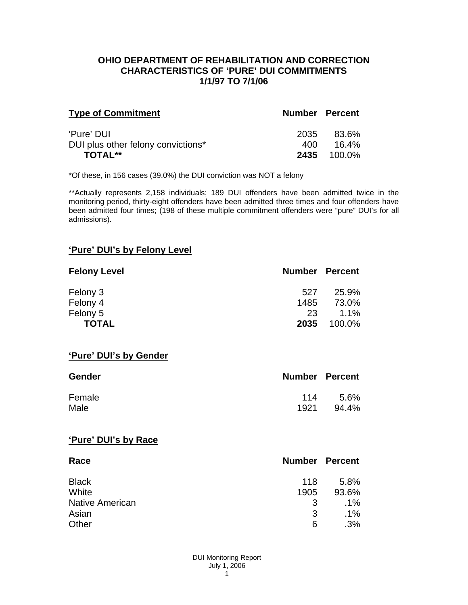### **OHIO DEPARTMENT OF REHABILITATION AND CORRECTION CHARACTERISTICS OF 'PURE' DUI COMMITMENTS 1/1/97 TO 7/1/06**

| <b>Type of Commitment</b>          | <b>Number Percent</b> |                    |
|------------------------------------|-----------------------|--------------------|
| 'Pure' DUI                         | 2035                  | 83.6%              |
| DUI plus other felony convictions* | 400.                  | 16.4%              |
| <b>TOTAL**</b>                     |                       | <b>2435</b> 100.0% |

\*Of these, in 156 cases (39.0%) the DUI conviction was NOT a felony

\*\*Actually represents 2,158 individuals; 189 DUI offenders have been admitted twice in the monitoring period, thirty-eight offenders have been admitted three times and four offenders have been admitted four times; (198 of these multiple commitment offenders were "pure" DUI's for all admissions).

# **'Pure' DUI's by Felony Level**

| <b>Felony Level</b> | <b>Number Percent</b> |         |
|---------------------|-----------------------|---------|
| Felony 3            | 527                   | 25.9%   |
| Felony 4            | 1485                  | 73.0%   |
| Felony 5            | 23                    | $1.1\%$ |
| <b>TOTAL</b>        | 2035                  | 100.0%  |

#### **'Pure' DUI's by Gender**

| Gender | <b>Number Percent</b> |         |
|--------|-----------------------|---------|
| Female | 114                   | $5.6\%$ |
| Male   | 1921                  | 94.4%   |

#### **'Pure' DUI's by Race**

| Race                   | <b>Number Percent</b> |        |
|------------------------|-----------------------|--------|
| <b>Black</b>           | 118                   | 5.8%   |
| White                  | 1905                  | 93.6%  |
| <b>Native American</b> | 3                     | $.1\%$ |
| Asian                  | 3                     | $.1\%$ |
| Other                  | 6                     | .3%    |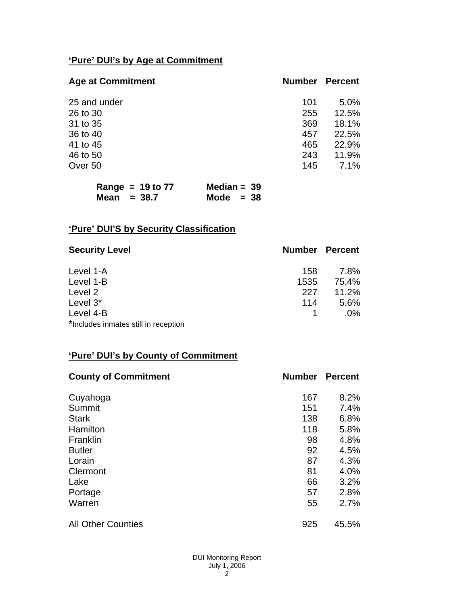# **'Pure' DUI's by Age at Commitment**

| <b>Age at Commitment</b> | <b>Number</b> | <b>Percent</b> |
|--------------------------|---------------|----------------|
| 25 and under             | 101           | 5.0%           |
| 26 to 30                 | 255           | 12.5%          |
| 31 to 35                 | 369           | 18.1%          |
| 36 to 40                 | 457           | 22.5%          |
| 41 to 45                 | 465           | 22.9%          |
| 46 to 50                 | 243           | 11.9%          |
| Over 50                  | 145           | 7.1%           |

| Range = $19$ to $77$ | Median = $39$ |  |
|----------------------|---------------|--|
| Mean $= 38.7$        | Mode $= 38$   |  |

# **'Pure' DUI'S by Security Classification**

| <b>Security Level</b>                | <b>Number Percent</b> |        |
|--------------------------------------|-----------------------|--------|
| Level 1-A                            | 158                   | 7.8%   |
| Level 1-B                            | 1535                  | 75.4%  |
| Level 2                              | 227                   | 11.2%  |
| Level 3*                             | 114                   | 5.6%   |
| Level 4-B                            |                       | $.0\%$ |
| *Includes inmates still in reception |                       |        |

# **'Pure' DUI's by County of Commitment**

| <b>County of Commitment</b> | <b>Number</b> | <b>Percent</b> |
|-----------------------------|---------------|----------------|
| Cuyahoga                    | 167           | 8.2%           |
| Summit                      | 151           | 7.4%           |
| <b>Stark</b>                | 138           | 6.8%           |
| Hamilton                    | 118           | 5.8%           |
| Franklin                    | 98            | 4.8%           |
| <b>Butler</b>               | 92            | 4.5%           |
| Lorain                      | 87            | 4.3%           |
| Clermont                    | 81            | 4.0%           |
| Lake                        | 66            | 3.2%           |
| Portage                     | 57            | 2.8%           |
| Warren                      | 55            | 2.7%           |
| <b>All Other Counties</b>   | 925           | 45.5%          |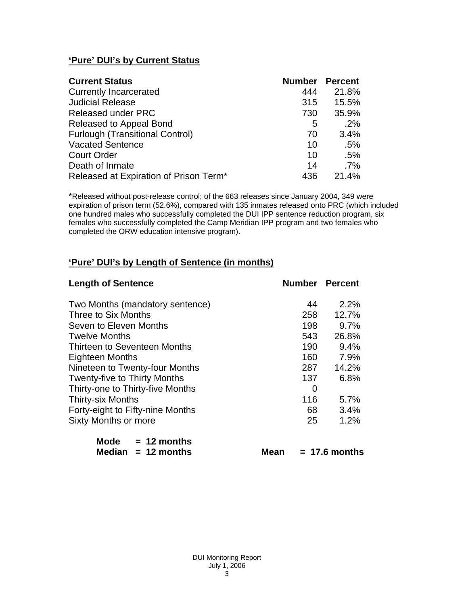# **'Pure' DUI's by Current Status**

| <b>Current Status</b>                  | <b>Number</b> | <b>Percent</b> |
|----------------------------------------|---------------|----------------|
| <b>Currently Incarcerated</b>          | 444           | 21.8%          |
| <b>Judicial Release</b>                | 315           | 15.5%          |
| <b>Released under PRC</b>              | 730           | 35.9%          |
| Released to Appeal Bond                | 5             | $.2\%$         |
| <b>Furlough (Transitional Control)</b> | 70            | 3.4%           |
| <b>Vacated Sentence</b>                | 10            | .5%            |
| <b>Court Order</b>                     | 10            | .5%            |
| Death of Inmate                        | 14            | $.7\%$         |
| Released at Expiration of Prison Term* | 436           | 21.4%          |

\*Released without post-release control; of the 663 releases since January 2004, 349 were expiration of prison term (52.6%), compared with 135 inmates released onto PRC (which included one hundred males who successfully completed the DUI IPP sentence reduction program, six females who successfully completed the Camp Meridian IPP program and two females who completed the ORW education intensive program).

# **'Pure' DUI's by Length of Sentence (in months)**

| <b>Length of Sentence</b>           | <b>Number Percent</b> |       |
|-------------------------------------|-----------------------|-------|
| Two Months (mandatory sentence)     | 44                    | 2.2%  |
| Three to Six Months                 | 258                   | 12.7% |
| Seven to Eleven Months              | 198                   | 9.7%  |
| <b>Twelve Months</b>                | 543                   | 26.8% |
| Thirteen to Seventeen Months        | 190                   | 9.4%  |
| <b>Eighteen Months</b>              | 160                   | 7.9%  |
| Nineteen to Twenty-four Months      | 287                   | 14.2% |
| <b>Twenty-five to Thirty Months</b> | 137                   | 6.8%  |
| Thirty-one to Thirty-five Months    | 0                     |       |
| <b>Thirty-six Months</b>            | 116                   | 5.7%  |
| Forty-eight to Fifty-nine Months    | 68                    | 3.4%  |
| <b>Sixty Months or more</b>         | 25                    | 1.2%  |
| <b>Mode</b><br>$= 12$ months        |                       |       |

 **Median = 12 months Mean = 17.6 months**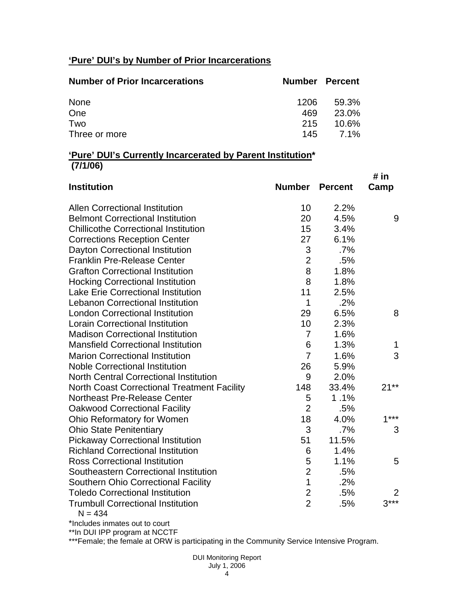# **'Pure' DUI's by Number of Prior Incarcerations**

| <b>Number of Prior Incarcerations</b> | Number Percent |               |
|---------------------------------------|----------------|---------------|
| None                                  | 1206.          | 59.3%         |
| One                                   | 469            | 23.0%         |
| Two                                   | 215            | 10.6%         |
| Three or more                         |                | $145$ $7.1\%$ |

### **'Pure' DUI's Currently Incarcerated by Parent Institution\* (7/1/06)**

| <b>Institution</b>                                    | <b>Number</b>  | <b>Percent</b> | # in<br>Camp |
|-------------------------------------------------------|----------------|----------------|--------------|
| <b>Allen Correctional Institution</b>                 | 10             | 2.2%           |              |
| <b>Belmont Correctional Institution</b>               | 20             | 4.5%           | 9            |
| <b>Chillicothe Correctional Institution</b>           | 15             | 3.4%           |              |
| <b>Corrections Reception Center</b>                   | 27             | 6.1%           |              |
| Dayton Correctional Institution                       | 3              | .7%            |              |
| <b>Franklin Pre-Release Center</b>                    | $\overline{2}$ | .5%            |              |
| <b>Grafton Correctional Institution</b>               | 8              | 1.8%           |              |
| <b>Hocking Correctional Institution</b>               | 8              | 1.8%           |              |
| <b>Lake Erie Correctional Institution</b>             | 11             | 2.5%           |              |
| <b>Lebanon Correctional Institution</b>               | 1              | .2%            |              |
| <b>London Correctional Institution</b>                | 29             | 6.5%           | 8            |
| <b>Lorain Correctional Institution</b>                | 10             | 2.3%           |              |
| <b>Madison Correctional Institution</b>               | $\overline{7}$ | 1.6%           |              |
| <b>Mansfield Correctional Institution</b>             | 6              | 1.3%           | 1            |
| <b>Marion Correctional Institution</b>                | $\overline{7}$ | 1.6%           | 3            |
| <b>Noble Correctional Institution</b>                 | 26             | 5.9%           |              |
| <b>North Central Correctional Institution</b>         | 9              | 2.0%           |              |
| <b>North Coast Correctional Treatment Facility</b>    | 148            | 33.4%          | $21**$       |
| Northeast Pre-Release Center                          | 5              | 1.1%           |              |
| <b>Oakwood Correctional Facility</b>                  | $\overline{2}$ | .5%            |              |
| Ohio Reformatory for Women                            | 18             | 4.0%           | $1***$       |
| <b>Ohio State Penitentiary</b>                        | 3              | .7%            | 3            |
| <b>Pickaway Correctional Institution</b>              | 51             | 11.5%          |              |
| <b>Richland Correctional Institution</b>              | 6              | 1.4%           |              |
| <b>Ross Correctional Institution</b>                  | 5              | 1.1%           | 5            |
| Southeastern Correctional Institution                 | $\overline{2}$ | .5%            |              |
| Southern Ohio Correctional Facility                   | $\overline{1}$ | .2%            |              |
| <b>Toledo Correctional Institution</b>                | $\overline{c}$ | .5%            | 2            |
| <b>Trumbull Correctional Institution</b><br>$N = 434$ | $\overline{2}$ | .5%            | $3***$       |

\*Includes inmates out to court

\*\*In DUI IPP program at NCCTF

\*\*\*Female; the female at ORW is participating in the Community Service Intensive Program.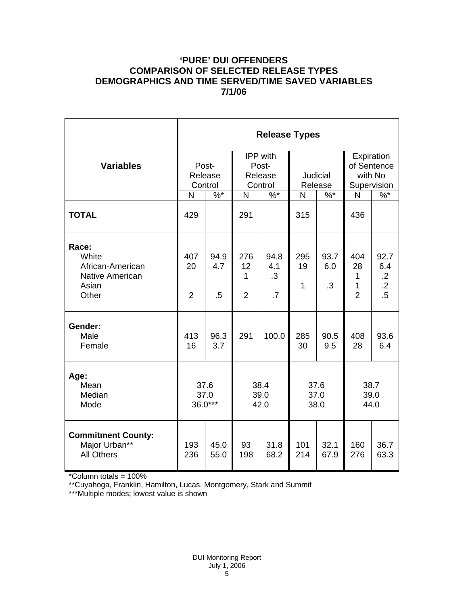# **'PURE' DUI OFFENDERS COMPARISON OF SELECTED RELEASE TYPES DEMOGRAPHICS AND TIME SERVED/TIME SAVED VARIABLES 7/1/06**

|                                                                         | <b>Release Types</b>        |                       |                                         |                                       |                            |                          |                                                     |                                                        |  |
|-------------------------------------------------------------------------|-----------------------------|-----------------------|-----------------------------------------|---------------------------------------|----------------------------|--------------------------|-----------------------------------------------------|--------------------------------------------------------|--|
| <b>Variables</b>                                                        | Post-<br>Release<br>Control |                       | IPP with<br>Post-<br>Release<br>Control |                                       | <b>Judicial</b><br>Release |                          | Expiration<br>of Sentence<br>with No<br>Supervision |                                                        |  |
|                                                                         | N                           | $\%$ *                | $\mathsf{N}$                            | $\%$ *                                | N                          | $\%$ *                   | N                                                   | $%^*$                                                  |  |
| <b>TOTAL</b>                                                            | 429                         |                       | 291                                     |                                       | 315                        |                          | 436                                                 |                                                        |  |
| Race:<br>White<br>African-American<br>Native American<br>Asian<br>Other | 407<br>20<br>$\overline{2}$ | 94.9<br>4.7<br>$.5\,$ | 276<br>12<br>1<br>$\overline{2}$        | 94.8<br>4.1<br>$\cdot$ 3<br>$\cdot$ 7 | 295<br>19<br>$\mathbf{1}$  | 93.7<br>6.0<br>$\cdot$ 3 | 404<br>28<br>1<br>1<br>$\overline{2}$               | 92.7<br>6.4<br>$\cdot$ .2<br>$\overline{.2}$<br>$.5\,$ |  |
| Gender:<br>Male<br>Female                                               | 413<br>16                   | 96.3<br>3.7           | 291                                     | 100.0                                 | 285<br>30                  | 90.5<br>9.5              | 408<br>28                                           | 93.6<br>6.4                                            |  |
| Age:<br>Mean<br>Median<br>Mode                                          | 37.6<br>37.0<br>36.0***     |                       | 38.4<br>39.0<br>42.0                    |                                       | 37.6<br>37.0<br>38.0       |                          | 38.7<br>39.0<br>44.0                                |                                                        |  |
| <b>Commitment County:</b><br>Major Urban**<br><b>All Others</b>         | 193<br>236                  | 45.0<br>55.0          | 93<br>198                               | 31.8<br>68.2                          | 101<br>214                 | 32.1<br>67.9             | 160<br>276                                          | 36.7<br>63.3                                           |  |

\*Column totals = 100%

\*\*Cuyahoga, Franklin, Hamilton, Lucas, Montgomery, Stark and Summit

\*\*\*Multiple modes; lowest value is shown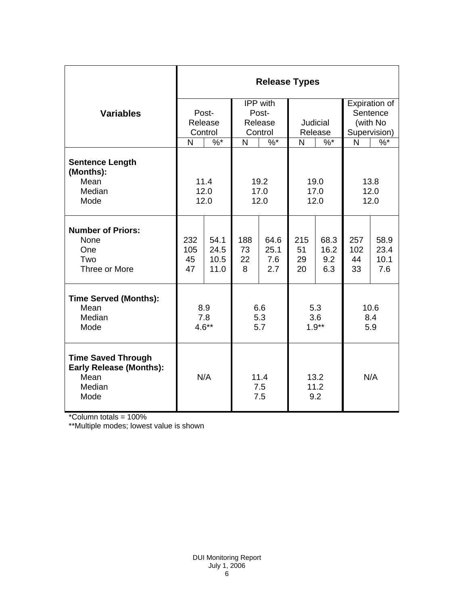|                                                                                       | <b>Release Types</b>        |              |                             |               |                     |              |                      |               |  |
|---------------------------------------------------------------------------------------|-----------------------------|--------------|-----------------------------|---------------|---------------------|--------------|----------------------|---------------|--|
|                                                                                       | Post-<br>Release<br>Control |              |                             | IPP with      |                     |              |                      | Expiration of |  |
| <b>Variables</b>                                                                      |                             |              | Post-<br>Release<br>Control |               | Judicial<br>Release |              | Sentence<br>(with No |               |  |
|                                                                                       |                             |              |                             |               |                     |              |                      |               |  |
|                                                                                       |                             |              |                             |               |                     |              | Supervision)         |               |  |
|                                                                                       | N                           | $\%$ *       | N                           | $\frac{9}{6}$ | N                   | $\%$ *       | N                    | $\frac{9}{6}$ |  |
| <b>Sentence Length</b><br>(Months):                                                   |                             |              |                             |               |                     |              |                      |               |  |
| Mean                                                                                  | 11.4                        |              | 19.2                        |               | 19.0                |              | 13.8                 |               |  |
| Median                                                                                | 12.0                        |              | 17.0                        |               | 17.0                |              | 12.0                 |               |  |
| Mode                                                                                  | 12.0                        |              | 12.0                        |               | 12.0                |              | 12.0                 |               |  |
| <b>Number of Priors:</b>                                                              |                             |              |                             |               |                     |              |                      |               |  |
| None<br>One                                                                           | 232<br>105                  | 54.1<br>24.5 | 188<br>73                   | 64.6<br>25.1  | 215<br>51           | 68.3<br>16.2 | 257<br>102           | 58.9<br>23.4  |  |
| Two                                                                                   | 45                          | 10.5         | 22                          | 7.6           | 29                  | 9.2          | 44                   | 10.1          |  |
| Three or More                                                                         | 47                          | 11.0         | 8                           | 2.7           | 20                  | 6.3          | 33                   | 7.6           |  |
| <b>Time Served (Months):</b>                                                          |                             |              |                             |               |                     |              |                      |               |  |
| Mean                                                                                  | 8.9                         |              | 6.6                         |               | 5.3                 |              | 10.6                 |               |  |
| Median                                                                                | 7.8                         |              | 5.3                         |               | 3.6                 |              | 8.4                  |               |  |
| Mode                                                                                  | $4.6**$                     |              | 5.7                         |               | $1.9**$             |              | 5.9                  |               |  |
| <b>Time Saved Through</b><br><b>Early Release (Months):</b><br>Mean<br>Median<br>Mode | N/A                         |              | 11.4<br>7.5<br>7.5          |               | 13.2<br>11.2<br>9.2 |              | N/A                  |               |  |

\*Column totals = 100%

\*\*Multiple modes; lowest value is shown